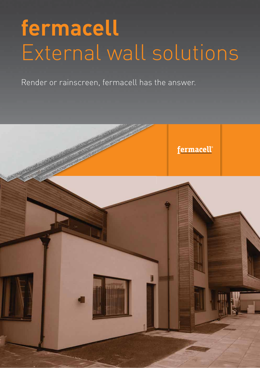# **fermacell**  External wall solutions

Render or rainscreen, fermacell has the answer.

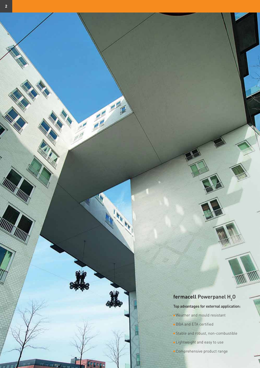# **fermacell** Powerpanel H<sub>2</sub>O

M

Top advantages for external application:

- $\blacksquare$  Weather and mould resistant
- $\blacksquare$  BBA and ETA certified

۲

Ī

Hagaara

- $\blacksquare$  Stable and robust, non-combustible
- **Lightweight and easy to use**
- Comprehensive product range

UNI RUU

**RATTA RATTA** 

Will

 $F_{\rm eff}$  (1)  $F_{\rm eff}$  (1)  $T_{\rm eff}$  (1)  $T_{\rm eff}$ 

 $H = 1.76$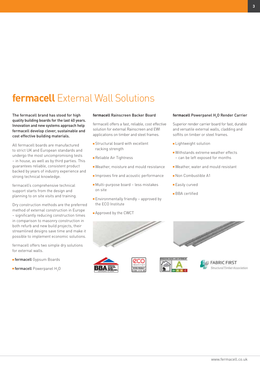# **fermacell** External Wall Solutions

The fermacell brand has stood for high quality building boards for the last 40 years. Innovation and new systems approach help fermacell develop clever, sustainable and cost effective building materials.

All fermacell boards are manufactured to strict UK and European standards and undergo the most uncompromising tests – in house, as well as by third parties. This guarantees reliable, consistent product backed by years of industry experience and strong technical knowledge.

fermacell's comprehensive technical support starts from the design and planning to on site visits and training.

Dry construction methods are the preferred method of external construction in Europe – significantly reducing construction times in comparison to masonry construction in both refurb and new build projects, their streamlined designs save time and make it possible to implement economic solutions.

fermacell offers two simple dry solutions for external walls.

- **Fermacell** Gypsum Boards
- $\blacksquare$  fermacell Powerpanel  ${\sf H}_{\mathfrak{z}}$ O

#### **fermacell** Rainscreen Backer Board

fermacell offers a fast, reliable, cost effective solution for external Rainscreen and EWI applications on timber and steel frames.

- $\blacksquare$  Structural board with excellent racking strength
- Reliable Air Tightness
- $\blacksquare$  Weather, moisture and mould resistance
- $\blacksquare$  Improves fire and acoustic performance
- Multi-purpose board less mistakes on site
- $\blacksquare$  Environmentally friendly approved by the ECO Institute
- $\blacksquare$  Approved by the CWCT

#### **fermacell** Powerpanel H<sub>2</sub>O Render Carrier

Superior render carrier board for fast, durable and versatile external walls, cladding and soffits on timber or steel frames.

- $\blacksquare$  Lightweight solution
- $\blacksquare$  Withstands extreme weather effects – can be left exposed for months
- $\blacksquare$  Weather, water and mould resistant
- $\blacksquare$  Non Combustible A1
- $\blacksquare$  Easily curved
- BBA certified







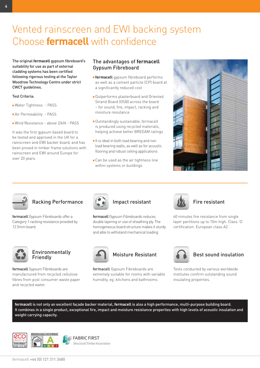# Vented rainscreen and EWI backing system Choose **fermacell** with confidence

The original **fermacell** gypsum fibreboard's suitability for use as part of external cladding systems has been certified following rigorous testing at the Taylor Woodrow Technology Centre under strict CWCT guidelines.

#### Test Criteria:

- Water Tightness PASS
- $\blacksquare$  Air Permeability PASS
- Wind Resistance above 2/kN PASS

It was the first gypsum based board to be tested and approved in the UK for a rainscreen and EWI backer board, and has been proved in timber frame solutions with rainscreen and EWI around Europe for over 20 years.

# The advantages of **fermacell** Gypsum Fibreboard

- **Fermacell** gypsum fibreboard performs as well as a cement particle (CP) board at a significantly reduced cost
- Outperforms plasterboard and Oriented Strand Board (OSB) across the board – for sound, fire, impact, racking and moisture resistance
- Outstandingly sustainable, fermacell is produced using recycled materials, helping achieve better BREEAM ratings
- $\blacksquare$  It is ideal in both load bearing and non load bearing walls, as well as for acoustic flooring and robust ceiling applications
- $\blacksquare$  Can be used as the air tightness line within systems or buildings





# Racking Performance

fermacell Gypsum Fibreboards offer a Category 1 racking resistance provided by 12.5mm board.



### Environmentally Friendly

fermacell Gypsum Fibreboards are manufactured from recycled cellulose fibres from post consumer waste paper and recycled water.



# Impact resistant

fermacell Gypsum Fibreboards reduces double layering or use of sheathing ply. The homogeneous board structure makes it sturdy and able to withstand mechanical loading.



# Moisture Resistant

fermacell Gypsum Fibreboards are extremely suitable for rooms with variable humidity, eg. kitchens and bathrooms.



#### Fire resistant

60 minutes fire resistance from single layer partitions up to 10m high. Class 'O' certification. European class A2.



# Best sound insulation

Tests conducted by various worldwide institutes confirm outstanding sound insulating properties.

**fermacell** is not only an excellent façade backer material, **fermacell** is also a high performance, multi-purpose building board. It combines in a single product, exceptional fire, impact and moisture resistance properties with high levels of acoustic insulation and weight carrying capacity.





**FABRIC FIRST** Structural Timber Association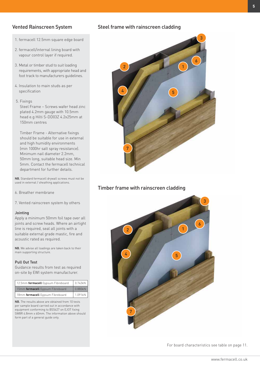#### Vented Rainscreen System

- 1. fermacell 12.5mm square edge board
- 2. fermacell/internal lining board with vapour control layer if required.
- 3. Metal or timber stud to suit loading requirements, with appropriate head and foot track to manufacturers guidelines.
- 4. Insulation to main studs as per specification
- 5. Fixings Steel Frame – Screws wafer head zinc plated 4.2mm gauge with 10.5mm head e.g Hilti S-DD03Z 4.2x25mm at

150mm centres

Timber Frame - Alternative fixings should be suitable for use in external and high humidity environments (min 1000hr salt spray resistance). Minimum nail diameter 2.2mm, 50mm long, suitable head size. Min 5mm. Contact the fermacell technical department for further details.

NB. Standard fermacell drywall screws must not be used in external / sheathing applications.

6. Breather membrane

7. Vented rainscreen system by others

#### Jointing

Apply a minimum 50mm foil tape over all joints and screw heads. Where an airtight line is required, seal all joints with a suitable external grade mastic, fire and acoustic rated as required.

NB. We advise all loadings are taken back to their main supporting structure.

#### Pull Out Test

Guidance results from test as required on-site by EWI system manufacturer.

| 12.5mm fermacell Gypsum Fibreboard | 0.742kN |
|------------------------------------|---------|
| 15mm fermacell Gypsum Fibreboard   | 0.880kN |
| 18mm fermacell Gypsum Fibreboard   | 1.091kN |

NB. The results above are obtained from 10 tests per sample board carried out in accordance with equipment conforming to BS5427 on EJOT fixing SW8R 4.8mm x 60mm. The information above should form part of a general guide only.

#### Steel frame with rainscreen cladding



#### Timber frame with rainscreen cladding



For board characteristics see table on page 11.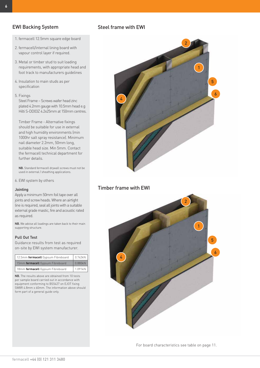# EWI Backing System

- 1. fermacell 12.5mm square edge board
- 2. fermacell/internal lining board with vapour control layer if required.
- 3. Metal or timber stud to suit loading requirements, with appropriate head and foot track to manufacturers guidelines
- 4. Insulation to main studs as per specification
- 5. Fixings

Steel Frame – Screws wafer head zinc plated 4.2mm gauge with 10.5mm head e.g Hilti S-DD03Z 4.2x25mm at 150mm centres.

Timber Frame - Alternative fixings should be suitable for use in external and high humidity environments (min 1000hr salt spray resistance). Minimum nail diameter 2.2mm, 50mm long, suitable head size. Min 5mm. Contact the fermacell technical department for further details.

NB. Standard fermacell drywall screws must not be used in external / sheathing applications.

6. EWI system by others

#### Jointing

Apply a minimum 50mm foil tape over all joints and screw heads. Where an airtight line is required, seal all joints with a suitable external grade mastic, fire and acoustic rated as required.

NB. We advise all loadings are taken back to their main supporting structure.

#### Pull Out Test

Guidance results from test as required on-site by EWI system manufacturer.

| 12.5mm fermacell Gypsum Fibreboard | $\vert$ 0.742kN $\vert$ |
|------------------------------------|-------------------------|
| 15mm fermacell Gypsum Fibreboard   | 0.880kN                 |
| 18mm fermacell Gypsum Fibreboard   | 1.091kN                 |

NB. The results above are obtained from 10 tests per sample board carried out in accordance with equipment conforming to BS5427 on EJOT fixing SW8R 4.8mm x 60mm. The information above should form part of a general guide only.

# Steel frame with EWI



# Timber frame with EWI



For board characteristics see table on page 11.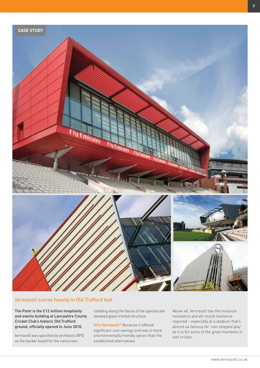

#### fermacell scores heavily in Old Trafford test

The Point is the £12 million hospitality and events building at Lancashire County Cricket Club's historic Old Trafford ground, officially opened in June 2010.

fermacell was specified by architects BPD as the backer board for the rainscreen

cladding along the fascia of the spectacular elevated glass fronted structure.

Why **fermacell**? Because it offered significant cost savings and was a more environmentally friendly option than the established alternatives.

Above all, fermacell has the moisture resistance and all-round resilience required – especially at a stadium that's almost as famous for 'rain stopped play' as it is for some of the great moments in test cricket.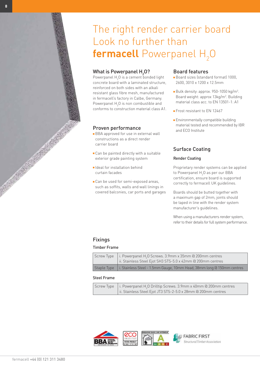# The right render carrier board Look no further than  ${\mathsf f}$ er ${\mathsf m}$ acell Powerpanel  ${\mathsf H}_2{\mathsf O}$

# What is Powerpanel  $H_2^0$

Powerpanel  $H_2O$  is a cement bonded light concrete board with a laminated structure, reinforced on both sides with an alkali resistant glass fibre mesh, manufactured in fermacell's factory in Calbe, Germany. Powerpanel  $\text{H}_{\text{2}}\text{O}$  is non combustible and conforms to construction material class A1.

#### Proven performance

- **BBA approved for use in external wall** constructions as a direct render carrier board
- $\blacksquare$  Can be painted directly with a suitable exterior grade painting system
- $\blacksquare$  Ideal for installation behind curtain facades
- $Can$  be used for semi-exposed areas. such as soffits, walls and wall linings in covered balconies, car ports and garages

#### Board features

- Q Board sizes (standard format) 1000, 2600, 3010 x 1200 x 12.5mm
- $\blacksquare$  Bulk density: approx. 950-1050 kg/m $^3$ . Board weight: approx 13kg/m<sup>2</sup>. Building material class acc. to EN 13501-1: A1
- Q Frost resistant to EN 12467
- $\blacksquare$  Environmentally compatible building material tested and recommended by IBR and ECO Institute

# Surface Coating

#### Render Coating

Proprietary render systems can be applied to Powerpanel H<sub>2</sub>O as per our BBA certification, ensure board is supported correctly to fermacell UK guidelines.

Boards should be butted together with a maximum gap of 2mm, joints should be taped in line with the render system manufacturer's guidelines.

When using a manufacturers render system, refer to their details for full system performance.

### Fixings

#### Timber Frame

| Screw Type   i. Powerpanel H <sub>2</sub> O Screws. 3.9mm x 35mm @ 200mm centres<br>ii. Stainless Steel Ejot SH3 STS-5.0 x 42mm @ 200mm centres |
|-------------------------------------------------------------------------------------------------------------------------------------------------|
| Staple Type   i. Stainless Steel - 1.5mm Gauge, 10mm Head, 38mm long @ 150mm centres                                                            |

#### Steel Frame

| Screw Type   i. Powerpanel H <sub>2</sub> O Drilltip Screws. 3.9mm x 40mm @ 200mm centres |
|-------------------------------------------------------------------------------------------|
| ii. Stainless Steel Ejot JT3 STS-2-5.0 x 28mm @ 200mm centres                             |

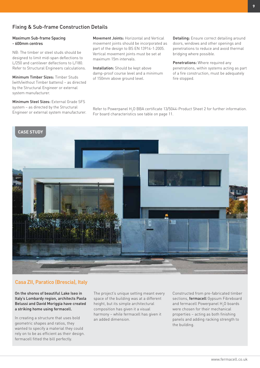# Fixing & Sub-frame Construction Details

#### Maximum Sub-frame Spacing - 600mm centres

NB: The timber or steel studs should be designed to limit mid-span deflections to L/250 and cantilever deflections to L/180. Refer to Structural Engineers calculations.

Minimum Timber Sizes: Timber Studs (with/without Timber battens) – as directed by the Structural Engineer or external system manufacturer.

Minimum Steel Sizes: External Grade SFS system – as directed by the Structural Engineer or external system manufacturer. Movement Joints: Horizontal and Vertical movement joints should be incorporated as part of the design to BS EN 13914-1:2005. Vertical movement joints must be set at maximum 15m intervals.

Installation: Should be kept above damp-proof course level and a minimum of 150mm above ground level.

Detailing: Ensure correct detailing around doors, windows and other openings and penetrations to reduce and avoid thermal bridging where possible.

Penetrations: Where required any penetrations, within systems acting as part of a fire construction, must be adequately fire stopped.

Refer to Powerpanel H<sub>2</sub>O BBA certificate 13/5044-Product Sheet 2 for further information. For board characteristics see table on page 11.



### Casa ZII, Paratico (Brescia), Italy

On the shores of beautiful Lake Iseo in Italy's Lombardy region, architects Paola Belussi and David Moriggia have created a striking home using fermacell.

In creating a structure that uses bold geometric shapes and ratios, they wanted to specify a material they could rely on to be as efficient as their design. fermacell fitted the bill perfectly.

The project's unique setting meant every space of the building was at a different height, but its simple architectural composition has given it a visual harmony – while fermacell has given it an added dimension.

Constructed from pre-fabricated timber sections, fermacell Gypsum Fibreboard and fermacell Powerpanel  $\rm H_2$ O boards were chosen for their mechanical properties – acting as both finishing panels and adding racking strength to the building.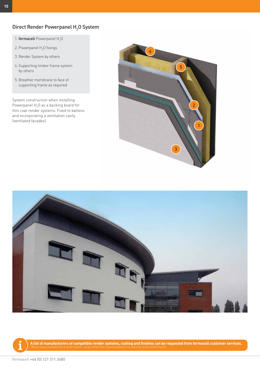# Direct Render Powerpanel  $\mathsf{H}_2$ O System

- 1. **fermacell** Powerpanel  $H_2O$
- 2. Powerpanel  $H_2O$  fixings
- 3. Render System by others
- 4. Supporting timber frame system by others
- 5. Breather membrane to face of supporting frame as required

System construction when installing Powerpanel  $\rm H_2O$  as a backing board for thin coat render systems. Fixed to battens and incorporating a ventilation cavity (ventilated facades).







A list of manufacturers of compatible render systems, coating and finishes can be requested from fermacell customer services.

fermacell +44 (0) 121 311 3480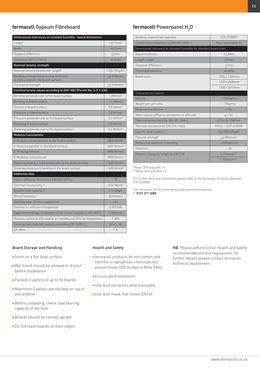## **fermacell** Gypsum Fibreboard

| Dimensional tolerances at constant humidity - board dimensions                    |                               |  |
|-----------------------------------------------------------------------------------|-------------------------------|--|
| Length                                                                            | $+0/-2mm$                     |  |
| Width                                                                             | $+0/-2mm$                     |  |
| Diagonal difference                                                               | <2mm                          |  |
| Thickness 10/12.5/15/18                                                           | ±0.2mm                        |  |
| Nominal density, strength                                                         |                               |  |
| Nominal density (production target)                                               | $1150 + 50$ kg/m <sup>3</sup> |  |
| Bending strength (after drying at 40 OC),<br>at right angles to the board surface | $>5.8$ N/mm <sup>2</sup>      |  |
| Transverse strength                                                               | $>0.3$ N/mm <sup>2</sup>      |  |
| Certified tensile values according to DIN 1052 (Permit No: Z-9,1-434)             |                               |  |
| Bending perpendicular to the board surface                                        | 1.2N/mm <sup>2</sup>          |  |
| Bending in board surface                                                          | 1.1 N/mm <sup>2</sup>         |  |
| Tension in board surface                                                          | $0.5$ N/mm <sup>2</sup>       |  |
| Pressure in board surface                                                         | $2.0$ N/mm <sup>2</sup>       |  |
| Pressure perpendicular to the board surface                                       | $2.5$ N/mm <sup>2</sup>       |  |
| Shearing in board surface                                                         | 0.3 N/mm <sup>2</sup>         |  |
| Shearing perpendicular to the board surface                                       | $0.6$ N/mm <sup>2</sup>       |  |
| <b>Modulus Calculations</b>                                                       |                               |  |
| E-Modulus perpendicular to the board surface                                      | 3800 N/mm <sup>2</sup>        |  |
| E-Modulus parallel to the board surface                                           | 3800 N/mm <sup>2</sup>        |  |
| E-Modulus tension                                                                 | 3800 N/mm <sup>2</sup>        |  |
| E-Modulus compression                                                             | 3800 N/mm <sup>2</sup>        |  |
| Shearing modulus G perpendicular to the board surface                             | 1600 N/mm <sup>2</sup>        |  |
| Shearing modulus G bending in the board surface                                   | 1600 N/mm <sup>2</sup>        |  |
| <b>Additional data</b>                                                            |                               |  |
| Vapour Diffusion Resistance EN ISO 12572 µ                                        | 13                            |  |
| Thermal Conductivity $\lambda$                                                    | 0.32 W/mK                     |  |
| Specific heat capacity C                                                          | $1.1$ kj/kg $K$               |  |
| <b>Brinell hardness</b>                                                           | 30 N/mm2                      |  |
| Swelling after 24 hours saturation                                                | < 2%                          |  |
| Thermal co-efficient of expansion                                                 | $0.001\%/K$                   |  |
| Expansion/shrinkage on alteration of the relative humidity of 30% (20°C)          | $0.25$ mm/m                   |  |
| Moisture content at 65% relative air humidity and 20°C air temperature            | 1.30%                         |  |
| Construction material category according EN 13501-1                               | $A2-s1$ , $d0$                |  |
| pH value                                                                          | $7 - 8$                       |  |

#### Board Storage and Handling

- $\blacksquare$  Store on a flat level surface
- $\blacksquare$  Wet board should be allowed to dry out before installation
- Packed in pallets of up to 50 boards
- Maximum 3 pallets are stacked on top of one another
- Before unloading, check load bearing capacity of the floor
- **Boards should be carried upright**
- Do not stack boards on their edges

# fermacell Powerpanel H<sub>2</sub>O

| Building inspectorate approval                                      | ETA-07/0087           |  |  |
|---------------------------------------------------------------------|-----------------------|--|--|
| Construction materials to DIN FN 13501-1                            | Non-flammable A1      |  |  |
| Dimensional tolerance at constant humidity for standard board sizes |                       |  |  |
| <b>Board thickness</b>                                              | 12.5mm                |  |  |
| Length, width                                                       | $+1mm$                |  |  |
| Diagonal difference                                                 | <2mm                  |  |  |
| Thickness tolerance                                                 | ±0.5mm                |  |  |
| Board sizes                                                         | 1000 x 1200mm         |  |  |
|                                                                     | 1200 x 2600mm         |  |  |
|                                                                     | 1200 x 3010mm         |  |  |
| Characteristic values                                               |                       |  |  |
| Density                                                             | $~1000$ kg/m3         |  |  |
| Weight per unit area                                                | $\sim 13$ kg/m2       |  |  |
| Moisture equilibrium                                                | $~1.5\%$              |  |  |
| Water vapour diffusion resistance co-efficient                      | $\mu = 56$            |  |  |
| Thermal conductivity (to DIN EN 12664)                              | λ10.tr=0.17W/mK       |  |  |
| Thermal resistance (to DIN EN 12664                                 | $R10.tr = 0.07 m2K/W$ |  |  |
| Specific heat capacity                                              | Cp=1000J/(kgK)        |  |  |
| Flexural strength                                                   | < 6.0 N/mm2           |  |  |
| Modulus of elasticity in bending                                    | $~1000$ N/mm2         |  |  |
| Alkalinity                                                          | ~10                   |  |  |
| Relative change in length (to EN 318)                               | $0.15$ mm/m*          |  |  |
|                                                                     | $0.10$ mm/m**         |  |  |

\*Betw. 30% and 65% r.h.

\*\*Betw. 65% and 85% r.h.

For further data and information please refer to the European Technical Approval ETA-07/0087

Call fermacell UK for more details and system accessories. T: **0121 311 3480**

# **Fermacell products do not contain and**

Health and Safety

- harmful or dangerous chemicals but please follow HSE Guidance Note EA44
- **Ensure good ventilation**
- $\blacksquare$  Use dust extractors where possible
- $\blacksquare$  Use dust mask that meets EN149

NB. Please adhere to full Health and Safety recommendations and regulations, for further details please contact fermacell technical department.